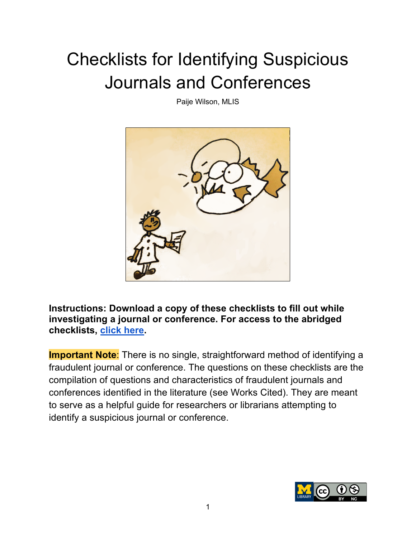## Checklists for Identifying Suspicious Journals and Conferences

Paije Wilson, MLIS



**Instructions: Download a copy of these checklists to fill out while investigating a journal or conference. For access to the abridged checklists, click here.**

**Important Note:** There is no single, straightforward method of identifying a fraudulent journal or conference. The questions on these checklists are the compilation of questions and characteristics of fraudulent journals and conferences identified in the literature (see Works Cited). They are meant to serve as a helpful guide for researchers or librarians attempting to identify a suspicious journal or conference.

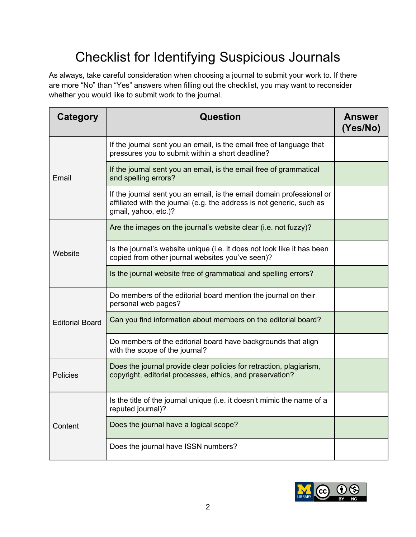## Checklist for Identifying Suspicious Journals

As always, take careful consideration when choosing a journal to submit your work to. If there are more "No" than "Yes" answers when filling out the checklist, you may want to reconsider whether you would like to submit work to the journal.

| <b>Category</b>        | Question                                                                                                                                                               | <b>Answer</b><br>(Yes/No) |
|------------------------|------------------------------------------------------------------------------------------------------------------------------------------------------------------------|---------------------------|
| Email                  | If the journal sent you an email, is the email free of language that<br>pressures you to submit within a short deadline?                                               |                           |
|                        | If the journal sent you an email, is the email free of grammatical<br>and spelling errors?                                                                             |                           |
|                        | If the journal sent you an email, is the email domain professional or<br>affiliated with the journal (e.g. the address is not generic, such as<br>gmail, yahoo, etc.)? |                           |
| Website                | Are the images on the journal's website clear (i.e. not fuzzy)?                                                                                                        |                           |
|                        | Is the journal's website unique (i.e. it does not look like it has been<br>copied from other journal websites you've seen)?                                            |                           |
|                        | Is the journal website free of grammatical and spelling errors?                                                                                                        |                           |
| <b>Editorial Board</b> | Do members of the editorial board mention the journal on their<br>personal web pages?                                                                                  |                           |
|                        | Can you find information about members on the editorial board?                                                                                                         |                           |
|                        | Do members of the editorial board have backgrounds that align<br>with the scope of the journal?                                                                        |                           |
| Policies               | Does the journal provide clear policies for retraction, plagiarism,<br>copyright, editorial processes, ethics, and preservation?                                       |                           |
| Content                | Is the title of the journal unique (i.e. it doesn't mimic the name of a<br>reputed journal)?                                                                           |                           |
|                        | Does the journal have a logical scope?                                                                                                                                 |                           |
|                        | Does the journal have ISSN numbers?                                                                                                                                    |                           |

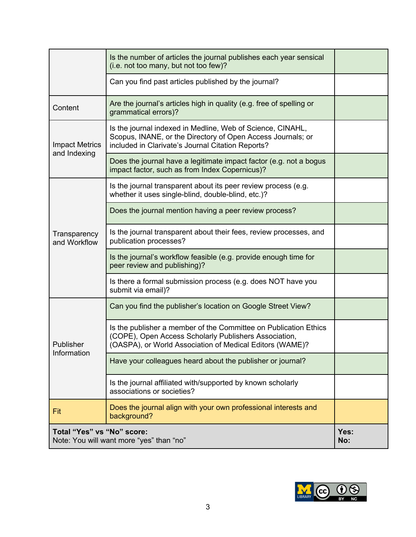|                                                                        | Is the number of articles the journal publishes each year sensical<br>(i.e. not too many, but not too few)?                                                                           |             |
|------------------------------------------------------------------------|---------------------------------------------------------------------------------------------------------------------------------------------------------------------------------------|-------------|
|                                                                        | Can you find past articles published by the journal?                                                                                                                                  |             |
| Content                                                                | Are the journal's articles high in quality (e.g. free of spelling or<br>grammatical errors)?                                                                                          |             |
| <b>Impact Metrics</b>                                                  | Is the journal indexed in Medline, Web of Science, CINAHL,<br>Scopus, INANE, or the Directory of Open Access Journals; or<br>included in Clarivate's Journal Citation Reports?        |             |
| and Indexing                                                           | Does the journal have a legitimate impact factor (e.g. not a bogus<br>impact factor, such as from Index Copernicus)?                                                                  |             |
|                                                                        | Is the journal transparent about its peer review process (e.g.<br>whether it uses single-blind, double-blind, etc.)?                                                                  |             |
|                                                                        | Does the journal mention having a peer review process?                                                                                                                                |             |
| Transparency<br>and Workflow                                           | Is the journal transparent about their fees, review processes, and<br>publication processes?                                                                                          |             |
|                                                                        | Is the journal's workflow feasible (e.g. provide enough time for<br>peer review and publishing)?                                                                                      |             |
|                                                                        | Is there a formal submission process (e.g. does NOT have you<br>submit via email)?                                                                                                    |             |
|                                                                        | Can you find the publisher's location on Google Street View?                                                                                                                          |             |
| Publisher<br>Information                                               | Is the publisher a member of the Committee on Publication Ethics<br>(COPE), Open Access Scholarly Publishers Association,<br>(OASPA), or World Association of Medical Editors (WAME)? |             |
|                                                                        | Have your colleagues heard about the publisher or journal?                                                                                                                            |             |
|                                                                        | Is the journal affiliated with/supported by known scholarly<br>associations or societies?                                                                                             |             |
| Fit                                                                    | Does the journal align with your own professional interests and<br>background?                                                                                                        |             |
| Total "Yes" vs "No" score:<br>Note: You will want more "yes" than "no" |                                                                                                                                                                                       | Yes:<br>No: |

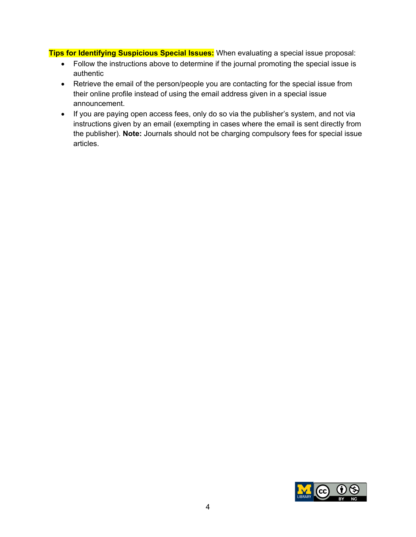**Tips for Identifying Suspicious Special Issues:** When evaluating a special issue proposal:

- Follow the instructions above to determine if the journal promoting the special issue is authentic
- Retrieve the email of the person/people you are contacting for the special issue from their online profile instead of using the email address given in a special issue announcement.
- If you are paying open access fees, only do so via the publisher's system, and not via instructions given by an email (exempting in cases where the email is sent directly from the publisher). **Note:** Journals should not be charging compulsory fees for special issue articles.

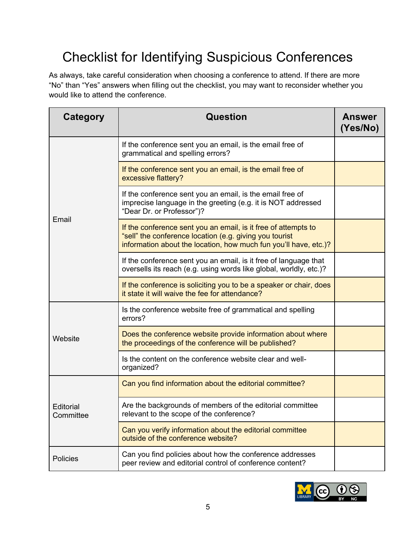## Checklist for Identifying Suspicious Conferences

As always, take careful consideration when choosing a conference to attend. If there are more "No" than "Yes" answers when filling out the checklist, you may want to reconsider whether you would like to attend the conference.

| Category               | Question                                                                                                                                                                                      | <b>Answer</b><br>(Yes/No) |
|------------------------|-----------------------------------------------------------------------------------------------------------------------------------------------------------------------------------------------|---------------------------|
|                        | If the conference sent you an email, is the email free of<br>grammatical and spelling errors?                                                                                                 |                           |
|                        | If the conference sent you an email, is the email free of<br>excessive flattery?                                                                                                              |                           |
| Email                  | If the conference sent you an email, is the email free of<br>imprecise language in the greeting (e.g. it is NOT addressed<br>"Dear Dr. or Professor")?                                        |                           |
|                        | If the conference sent you an email, is it free of attempts to<br>"sell" the conference location (e.g. giving you tourist<br>information about the location, how much fun you'll have, etc.)? |                           |
|                        | If the conference sent you an email, is it free of language that<br>oversells its reach (e.g. using words like global, worldly, etc.)?                                                        |                           |
|                        | If the conference is soliciting you to be a speaker or chair, does<br>it state it will waive the fee for attendance?                                                                          |                           |
|                        | Is the conference website free of grammatical and spelling<br>errors?                                                                                                                         |                           |
| Website                | Does the conference website provide information about where<br>the proceedings of the conference will be published?                                                                           |                           |
|                        | Is the content on the conference website clear and well-<br>organized?                                                                                                                        |                           |
|                        | Can you find information about the editorial committee?                                                                                                                                       |                           |
| Editorial<br>Committee | Are the backgrounds of members of the editorial committee<br>relevant to the scope of the conference?                                                                                         |                           |
|                        | Can you verify information about the editorial committee<br>outside of the conference website?                                                                                                |                           |
| <b>Policies</b>        | Can you find policies about how the conference addresses<br>peer review and editorial control of conference content?                                                                          |                           |

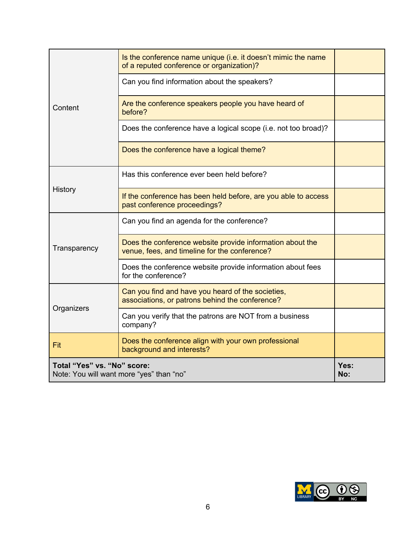|                                                                         | Is the conference name unique (i.e. it doesn't mimic the name<br>of a reputed conference or organization)? |  |
|-------------------------------------------------------------------------|------------------------------------------------------------------------------------------------------------|--|
|                                                                         | Can you find information about the speakers?                                                               |  |
| Content                                                                 | Are the conference speakers people you have heard of<br>before?                                            |  |
|                                                                         | Does the conference have a logical scope (i.e. not too broad)?                                             |  |
|                                                                         | Does the conference have a logical theme?                                                                  |  |
|                                                                         | Has this conference ever been held before?                                                                 |  |
| History                                                                 | If the conference has been held before, are you able to access<br>past conference proceedings?             |  |
|                                                                         | Can you find an agenda for the conference?                                                                 |  |
| Transparency                                                            | Does the conference website provide information about the<br>venue, fees, and timeline for the conference? |  |
|                                                                         | Does the conference website provide information about fees<br>for the conference?                          |  |
|                                                                         | Can you find and have you heard of the societies,<br>associations, or patrons behind the conference?       |  |
| Organizers                                                              | Can you verify that the patrons are NOT from a business<br>company?                                        |  |
| Fit                                                                     | Does the conference align with your own professional<br>background and interests?                          |  |
| Total "Yes" vs. "No" score:<br>Note: You will want more "yes" than "no" | Yes:<br>No:                                                                                                |  |

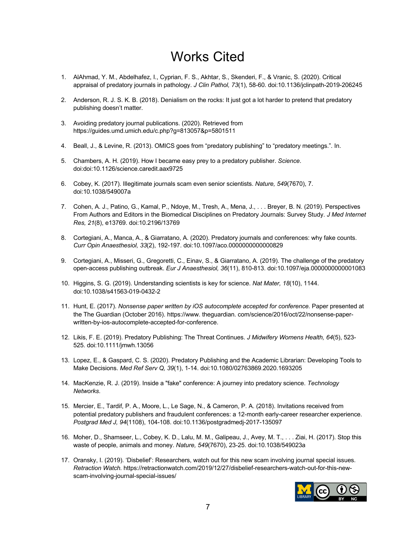## Works Cited

- 1. AlAhmad, Y. M., Abdelhafez, I., Cyprian, F. S., Akhtar, S., Skenderi, F., & Vranic, S. (2020). Critical appraisal of predatory journals in pathology. *J Clin Pathol, 73*(1), 58-60. doi:10.1136/jclinpath-2019-206245
- 2. Anderson, R. J. S. K. B. (2018). Denialism on the rocks: It just got a lot harder to pretend that predatory publishing doesn't matter.
- 3. Avoiding predatory journal publications. (2020). Retrieved from https://guides.umd.umich.edu/c.php?g=813057&p=5801511
- 4. Beall, J., & Levine, R. (2013). OMICS goes from "predatory publishing" to "predatory meetings.". In.
- 5. Chambers, A. H. (2019). How I became easy prey to a predatory publisher. *Science*. doi:doi:10.1126/science.caredit.aax9725
- 6. Cobey, K. (2017). Illegitimate journals scam even senior scientists. *Nature, 549*(7670), 7. doi:10.1038/549007a
- 7. Cohen, A. J., Patino, G., Kamal, P., Ndoye, M., Tresh, A., Mena, J., . . . Breyer, B. N. (2019). Perspectives From Authors and Editors in the Biomedical Disciplines on Predatory Journals: Survey Study. *J Med Internet Res, 21*(8), e13769. doi:10.2196/13769
- 8. Cortegiani, A., Manca, A., & Giarratano, A. (2020). Predatory journals and conferences: why fake counts. *Curr Opin Anaesthesiol, 33*(2), 192-197. doi:10.1097/aco.0000000000000829
- 9. Cortegiani, A., Misseri, G., Gregoretti, C., Einav, S., & Giarratano, A. (2019). The challenge of the predatory open-access publishing outbreak. *Eur J Anaesthesiol, 36*(11), 810-813. doi:10.1097/eja.0000000000001083
- 10. Higgins, S. G. (2019). Understanding scientists is key for science. *Nat Mater, 18*(10), 1144. doi:10.1038/s41563-019-0432-2
- 11. Hunt, E. (2017). *Nonsense paper written by iOS autocomplete accepted for conference.* Paper presented at the The Guardian (October 2016). https://www. theguardian. com/science/2016/oct/22/nonsense-paperwritten-by-ios-autocomplete-accepted-for-conference.
- 12. Likis, F. E. (2019). Predatory Publishing: The Threat Continues. *J Midwifery Womens Health, 64*(5), 523- 525. doi:10.1111/jmwh.13056
- 13. Lopez, E., & Gaspard, C. S. (2020). Predatory Publishing and the Academic Librarian: Developing Tools to Make Decisions. *Med Ref Serv Q, 39*(1), 1-14. doi:10.1080/02763869.2020.1693205
- 14. MacKenzie, R. J. (2019). Inside a "fake" conference: A journey into predatory science. *Technology Networks*.
- 15. Mercier, E., Tardif, P. A., Moore, L., Le Sage, N., & Cameron, P. A. (2018). Invitations received from potential predatory publishers and fraudulent conferences: a 12-month early-career researcher experience. *Postgrad Med J, 94*(1108), 104-108. doi:10.1136/postgradmedj-2017-135097
- 16. Moher, D., Shamseer, L., Cobey, K. D., Lalu, M. M., Galipeau, J., Avey, M. T., . . . Ziai, H. (2017). Stop this waste of people, animals and money. *Nature, 549*(7670), 23-25. doi:10.1038/549023a
- 17. Oransky, I. (2019). 'Disbelief': Researchers, watch out for this new scam involving journal special issues. *Retraction Watch.* https://retractionwatch.com/2019/12/27/disbelief-researchers-watch-out-for-this-newscam-involving-journal-special-issues/